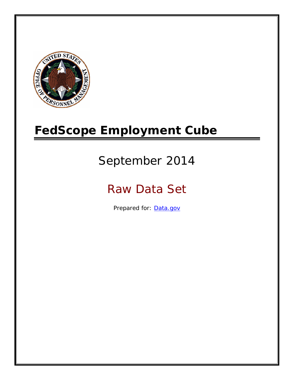

# **FedScope Employment Cube**

# September 2014

# Raw Data Set

Prepared for: [Data.gov](http://www.data.gov/)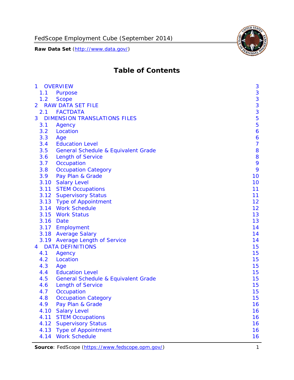

# **Table of Contents**

| $\mathbf{1}$   | <b>OVERVIEW</b>                                | 3              |
|----------------|------------------------------------------------|----------------|
| 1.1            | Purpose                                        | 3              |
| 1.2            | <b>Scope</b>                                   | 3              |
| $\overline{2}$ | <b>RAW DATA SET FILE</b>                       | 3              |
| 2.1            | <b>FACTDATA</b>                                | 3              |
| 3              | <b>DIMENSION TRANSLATIONS FILES</b>            | 5              |
| 3.1            | Agency                                         | 5              |
| 3.2            | Location                                       | 6              |
| 3.3            | Age                                            | 6              |
| 3.4            | <b>Education Level</b>                         | $\overline{7}$ |
| 3.5            | <b>General Schedule &amp; Equivalent Grade</b> | 8              |
| 3.6            | <b>Length of Service</b>                       | 8              |
| 3.7            | Occupation                                     | 9              |
| 3.8            | <b>Occupation Category</b>                     | 9              |
| 3.9            | Pay Plan & Grade                               | 10             |
| 3.10           | <b>Salary Level</b>                            | 10             |
| 3.11           | <b>STEM Occupations</b>                        | 11             |
|                | 3.12 Supervisory Status                        | 11             |
|                | 3.13 Type of Appointment                       | 12             |
|                | 3.14 Work Schedule                             | 12             |
| 3.15           | <b>Work Status</b>                             | 13             |
| 3.16           | Date                                           | 13             |
|                | 3.17 Employment                                | 14             |
|                | 3.18 Average Salary                            | 14             |
|                | 3.19 Average Length of Service                 | 14             |
| 4              | <b>DATA DEFINITIONS</b>                        | 15             |
| 4.1            | Agency                                         | 15             |
| 4.2            | Location                                       | 15             |
| 4.3            | Age                                            | 15             |
| 4.4            | <b>Education Level</b>                         | 15             |
| 4.5            | <b>General Schedule &amp; Equivalent Grade</b> | 15             |
| 4.6            | <b>Length of Service</b>                       | 15             |
| 4.7            | Occupation                                     | 15             |
| 4.8            | <b>Occupation Category</b>                     | 15             |
| 4.9            | Pay Plan & Grade                               | 16             |
| 4.10           | <b>Salary Level</b>                            | 16             |
| 4.11           | <b>STEM Occupations</b>                        | 16             |
| 4.12           | <b>Supervisory Status</b>                      | 16             |
| 4.13           | <b>Type of Appointment</b>                     | 16             |
| 4.14           | <b>Work Schedule</b>                           | 16             |

Source: FedScope (https://www.fedscope.opm.gov/) 1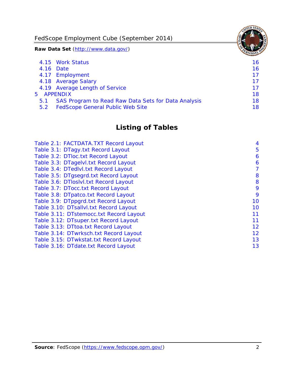FedScope Employment Cube (September 2014)

**Raw Data Set** (http://www.data.gov/)

|               | 4.15 Work Status                                    | 16. |
|---------------|-----------------------------------------------------|-----|
|               | 4.16 Date                                           | 16  |
|               | 4.17 Employment                                     | 17  |
|               | 4.18 Average Salary                                 | 17  |
|               | 4.19 Average Length of Service                      | 17  |
| 5 APPENDIX    |                                                     | 18  |
| 5.1           | SAS Program to Read Raw Data Sets for Data Analysis | 18  |
| $5.2^{\circ}$ | <b>FedScope General Public Web Site</b>             | 18  |

# **Listing of Tables**

| Table 2.1: FACTDATA.TXT Record Layout   | 4  |
|-----------------------------------------|----|
| Table 3.1: DTagy.txt Record Layout      | 5  |
| Table 3.2: DTloc.txt Record Layout      | 6  |
| Table 3.3: DTagelvl.txt Record Layout   | 6  |
| Table 3.4: DTedlvl.txt Record Layout    | 7  |
| Table 3.5: DTgsegrd.txt Record Layout   | 8  |
| Table 3.6: DTIoslvI.txt Record Layout   | 8  |
| Table 3.7: DTocc.txt Record Layout      | 9  |
| Table 3.8: DTpatco.txt Record Layout    | 9  |
| Table 3.9: DTppgrd.txt Record Layout    | 10 |
| Table 3.10: DTsallvl.txt Record Layout  | 10 |
| Table 3.11: DTstemocc.txt Record Layout | 11 |
| Table 3.12: DTsuper.txt Record Layout   | 11 |
| Table 3.13: DTtoa.txt Record Layout     | 12 |
| Table 3.14: DTwrksch.txt Record Layout  | 12 |
| Table 3.15: DTwkstat.txt Record Layout  | 13 |
| Table 3.16: DTdate.txt Record Layout    | 13 |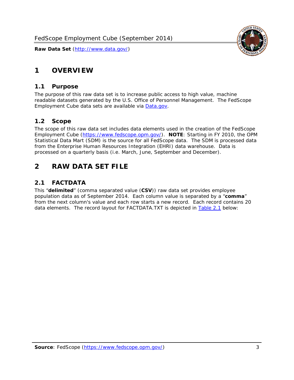# <span id="page-3-0"></span>**1 OVERVIEW**

#### *1.1 Purpose*

<span id="page-3-1"></span>The purpose of this raw data set is to increase public access to high value, machine readable datasets generated by the U.S. Office of Personnel Management. The FedScope Employment Cube data sets are available via [Data.gov](http://www.data.gov/).

## <span id="page-3-2"></span>*1.2 Scope*

The scope of this raw data set includes data elements used in the creation of the FedScope Employment Cube [\(https://www.fedscope.opm.gov/\)](https://www.fedscope.opm.gov/). **NOTE**: Starting in FY 2010, the OPM Statistical Data Mart (SDM) is the source for all FedScope data. The SDM is processed data from the Enterprise Human Resources Integration (EHRI) data warehouse. Data is processed on a quarterly basis (i.e. March, June, September and December).

# <span id="page-3-3"></span>**2 RAW DATA SET FILE**

## <span id="page-3-4"></span>*2.1 FACTDATA*

This "**delimited**" (comma separated value (**CSV**)) raw data set provides employee population data as of September 2014. Each column value is separated by a "**comma**" from the next column's value and each row starts a new record. Each record contains 20 data elements. The record layout for FACTDATA.TXT is depicted in [Table 2.1](#page-4-1) below:

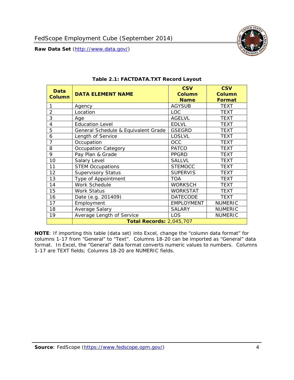

<span id="page-4-1"></span><span id="page-4-0"></span>

| <b>Data</b><br><b>Column</b> | <b>DATA ELEMENT NAME</b>            | <b>CSV</b><br><b>Column</b><br><b>Name</b> | <b>CSV</b><br><b>Column</b><br><b>Format</b> |
|------------------------------|-------------------------------------|--------------------------------------------|----------------------------------------------|
|                              | Agency                              | <b>AGYSUB</b>                              | <b>TEXT</b>                                  |
| $\overline{2}$               | Location                            | <b>LOC</b>                                 | <b>TEXT</b>                                  |
| 3                            | Age                                 | <b>AGELVL</b>                              | <b>TEXT</b>                                  |
| 4                            | <b>Education Level</b>              | <b>EDLVL</b>                               | <b>TEXT</b>                                  |
| 5                            | General Schedule & Equivalent Grade | <b>GSEGRD</b>                              | <b>TEXT</b>                                  |
| 6                            | Length of Service                   | <b>LOSLVL</b>                              | <b>TEXT</b>                                  |
| 7                            | Occupation                          | <b>OCC</b>                                 | <b>TEXT</b>                                  |
| 8                            | <b>Occupation Category</b>          | <b>PATCO</b>                               | <b>TEXT</b>                                  |
| 9                            | Pay Plan & Grade                    | <b>PPGRD</b>                               | <b>TEXT</b>                                  |
| 10                           | Salary Level                        | <b>SALLVL</b>                              | <b>TEXT</b>                                  |
| 11                           | <b>STEM Occupations</b>             | <b>STEMOCC</b>                             | <b>TEXT</b>                                  |
| 12                           | <b>Supervisory Status</b>           | <b>SUPERVIS</b>                            | <b>TEXT</b>                                  |
| 13                           | Type of Appointment                 | <b>TOA</b>                                 | <b>TEXT</b>                                  |
| 14                           | Work Schedule                       | <b>WORKSCH</b>                             | <b>TEXT</b>                                  |
| 15                           | Work Status                         | <b>WORKSTAT</b>                            | TEXT                                         |
| 16                           | Date (e.g. 201409)                  | <b>DATECODE</b>                            | <b>TEXT</b>                                  |
| 17                           | Employment                          | <b>EMPLOYMENT</b>                          | <b>NUMERIC</b>                               |
| 18                           | Average Salary                      | <b>SALARY</b>                              | <b>NUMERIC</b>                               |
| 19                           | Average Length of Service           | LOS                                        | <b>NUMERIC</b>                               |
|                              | <b>Total Records: 2,045,707</b>     |                                            |                                              |

#### **Table 2.1: FACTDATA.TXT Record Layout**

**NOTE**: If importing this table (data set) into Excel, change the "column data format" for columns 1-17 from "General" to "Text". Columns 18-20 can be imported as "General" data format. In Excel, the "General" data format converts numeric values to numbers. Columns 1-17 are TEXT fields; Columns 18-20 are NUMERIC fields.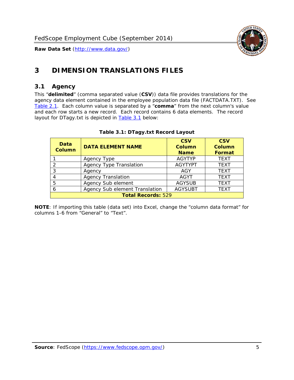

# <span id="page-5-0"></span>**3 DIMENSION TRANSLATIONS FILES**

#### <span id="page-5-1"></span>*3.1 Agency*

<span id="page-5-3"></span><span id="page-5-2"></span>This "**delimited**" (comma separated value (**CSV**)) data file provides translations for the agency data element contained in the employee population data file (FACTDATA.TXT). See [Table 2.1.](#page-4-1) Each column value is separated by a "**comma**" from the next column's value and each row starts a new record. Each record contains 6 data elements. The record layout for DTagy.txt is depicted in [Table 3.1](#page-5-3) below:

| Data<br><b>Column</b>     | <b>DATA ELEMENT NAME</b>       | <b>CSV</b><br><b>Column</b><br><b>Name</b> | <b>CSV</b><br>Column<br><b>Format</b> |
|---------------------------|--------------------------------|--------------------------------------------|---------------------------------------|
|                           | Agency Type                    | <b>AGYTYP</b>                              | <b>TEXT</b>                           |
| 2                         | <b>Agency Type Translation</b> | <b>AGYTYPT</b>                             | <b>TEXT</b>                           |
| 3                         | Agency                         | AGY                                        | <b>TEXT</b>                           |
| 4                         | <b>Agency Translation</b>      | <b>AGYT</b>                                | <b>TEXT</b>                           |
| 5                         | Agency Sub element             | <b>AGYSUB</b>                              | <b>TEXT</b>                           |
| 6                         | Agency Sub element Translation | <b>AGYSUBT</b>                             | <b>TEXT</b>                           |
| <b>Total Records: 529</b> |                                |                                            |                                       |

#### **Table 3.1: DTagy.txt Record Layout**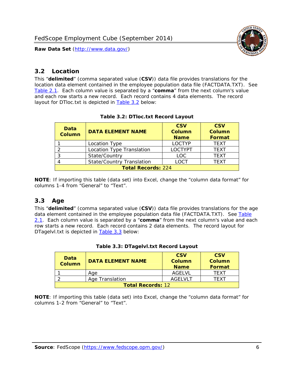

#### <span id="page-6-0"></span>*3.2 Location*

<span id="page-6-4"></span><span id="page-6-2"></span>This "**delimited**" (comma separated value (**CSV**)) data file provides translations for the location data element contained in the employee population data file (FACTDATA.TXT). See [Table 2.1.](#page-4-1) Each column value is separated by a "**comma**" from the next column's value and each row starts a new record. Each record contains 4 data elements. The record layout for DTloc.txt is depicted in [Table 3.2](#page-6-4) below:

| Data<br><b>Column</b>     | <b>DATA ELEMENT NAME</b>         | <b>CSV</b><br>Column<br><b>Name</b> | <b>CSV</b><br><b>Column</b><br><b>Format</b> |
|---------------------------|----------------------------------|-------------------------------------|----------------------------------------------|
|                           | Location Type                    | <b>LOCTYP</b>                       | <b>TEXT</b>                                  |
|                           | Location Type Translation        | <b>LOCTYPT</b>                      | <b>TEXT</b>                                  |
| ⌒                         | State/Country                    | <b>LOC</b>                          | <b>TFXT</b>                                  |
|                           | <b>State/Country Translation</b> | LOCT                                | <b>TFXT</b>                                  |
| <b>Total Records: 224</b> |                                  |                                     |                                              |

#### **Table 3.2: DTloc.txt Record Layout**

**NOTE**: If importing this table (data set) into Excel, change the "column data format" for columns 1-4 from "General" to "Text".

#### <span id="page-6-1"></span>*3.3 Age*

<span id="page-6-5"></span><span id="page-6-3"></span>This "**delimited**" (comma separated value (**CSV**)) data file provides translations for the age data element contained in the employee population data file (FACTDATA.TXT). See [Table](#page-4-1) [2.1](#page-4-1). Each column value is separated by a "**comma**" from the next column's value and each row starts a new record. Each record contains 2 data elements. The record layout for DTagelvl.txt is depicted in **[Table 3.3](#page-6-5)** below:

| Data<br><b>Column</b>    | <b>DATA ELEMENT NAME</b> | <b>CSV</b><br>Column<br><b>Name</b> | <b>CSV</b><br>Column<br><b>Format</b> |
|--------------------------|--------------------------|-------------------------------------|---------------------------------------|
|                          | Aae                      | AGFI VI                             | TFXT                                  |
|                          | Age Translation          | AGFI VI T                           | TFXT                                  |
| <b>Total Records: 12</b> |                          |                                     |                                       |

#### **Table 3.3: DTagelvl.txt Record Layout**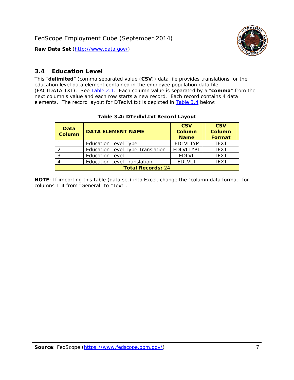

### <span id="page-7-0"></span>*3.4 Education Level*

<span id="page-7-2"></span><span id="page-7-1"></span>This "**delimited**" (comma separated value (**CSV**)) data file provides translations for the education level data element contained in the employee population data file (FACTDATA.TXT). See [Table 2.1](#page-4-1). Each column value is separated by a "**comma**" from the next column's value and each row starts a new record. Each record contains 4 data elements. The record layout for DTedlvl.txt is depicted in [Table 3.4](#page-7-2) below:

| Data<br><b>Column</b>    | <b>DATA ELEMENT NAME</b>           | <b>CSV</b><br><b>Column</b><br><b>Name</b> | <b>CSV</b><br><b>Column</b><br><b>Format</b> |
|--------------------------|------------------------------------|--------------------------------------------|----------------------------------------------|
|                          | <b>Education Level Type</b>        | <b>EDLVLTYP</b>                            | <b>TEXT</b>                                  |
|                          | Education Level Type Translation   | <b>EDLVLTYPT</b>                           | <b>TEXT</b>                                  |
|                          | <b>Education Level</b>             | <b>EDLVL</b>                               | <b>TEXT</b>                                  |
|                          | <b>Education Level Translation</b> | <b>EDLVLT</b>                              | <b>TEXT</b>                                  |
| <b>Total Records: 24</b> |                                    |                                            |                                              |

#### **Table 3.4: DTedlvl.txt Record Layout**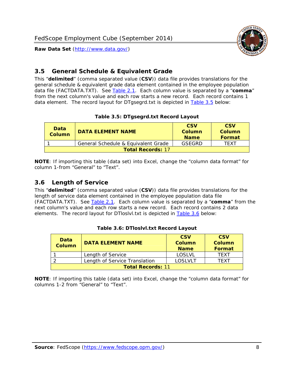

#### <span id="page-8-0"></span>*3.5 General Schedule & Equivalent Grade*

This "**delimited**" (comma separated value (**CSV**)) data file provides translations for the general schedule & equivalent grade data element contained in the employee population data file (FACTDATA.TXT). See [Table 2.1](#page-4-1). Each column value is separated by a "**comma**" from the next column's value and each row starts a new record. Each record contains 1 data element. The record layout for DTgsegrd.txt is depicted in [Table 3.5](#page-8-4) below:

#### **Table 3.5: DTgsegrd.txt Record Layout**

<span id="page-8-4"></span><span id="page-8-2"></span>

| Data<br>Column           | DATA FI FMFNT NAMF                  | <b>CSV</b><br>Column<br><b>Name</b> | <b>CSV</b><br>Column<br><b>Format</b> |
|--------------------------|-------------------------------------|-------------------------------------|---------------------------------------|
|                          | General Schedule & Equivalent Grade | GSFGRD                              | TFXT                                  |
| <b>Total Records: 17</b> |                                     |                                     |                                       |

**NOTE**: If importing this table (data set) into Excel, change the "column data format" for column 1-from "General" to "Text".

#### <span id="page-8-1"></span>*3.6 Length of Service*

<span id="page-8-5"></span>This "**delimited**" (comma separated value (**CSV**)) data file provides translations for the length of service data element contained in the employee population data file (FACTDATA.TXT). See [Table 2.1](#page-4-1). Each column value is separated by a "**comma**" from the next column's value and each row starts a new record. Each record contains 2 data elements. The record layout for DTloslvl.txt is depicted in [Table 3.6](#page-8-5) below:

<span id="page-8-3"></span>

| Data<br><b>Column</b>    | <b>DATA ELEMENT NAME</b>      | <b>CSV</b><br><b>Column</b><br><b>Name</b> | <b>CSV</b><br>Column<br>Format |
|--------------------------|-------------------------------|--------------------------------------------|--------------------------------|
|                          | Length of Service             | LOSLVL                                     | TFXT                           |
|                          | Length of Service Translation | LOSI VLT                                   | TFXT                           |
| <b>Total Records: 11</b> |                               |                                            |                                |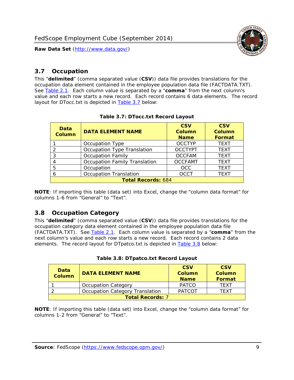

#### <span id="page-9-0"></span>*3.7 Occupation*

<span id="page-9-4"></span>This "**delimited**" (comma separated value (**CSV**)) data file provides translations for the occupation data element contained in the employee population data file (FACTDATA.TXT). See [Table 2.1](#page-4-1). Each column value is separated by a "**comma**" from the next column's value and each row starts a new record. Each record contains 6 data elements. The record layout for DTocc.txt is depicted in [Table 3.7](#page-9-4) below:

<span id="page-9-2"></span>

| Data<br><b>Column</b>     | <b>DATA ELEMENT NAME</b>             | <b>CSV</b><br><b>Column</b><br><b>Name</b> | <b>CSV</b><br><b>Column</b><br><b>Format</b> |
|---------------------------|--------------------------------------|--------------------------------------------|----------------------------------------------|
|                           | Occupation Type                      | <b>OCCTYP</b>                              | <b>TEXT</b>                                  |
|                           | Occupation Type Translation          | <b>OCCTYPT</b>                             | <b>TEXT</b>                                  |
| 3                         | <b>Occupation Family</b>             | <b>OCCFAM</b>                              | <b>TEXT</b>                                  |
|                           | <b>Occupation Family Translation</b> | <b>OCCFAMT</b>                             | <b>TEXT</b>                                  |
| 5                         | Occupation                           | <b>OCC</b>                                 | <b>TEXT</b>                                  |
|                           | <b>Occupation Translation</b>        | <b>OCCT</b>                                | <b>TEXT</b>                                  |
| <b>Total Records: 684</b> |                                      |                                            |                                              |

#### **Table 3.7: DTocc.txt Record Layout**

**NOTE**: If importing this table (data set) into Excel, change the "column data format" for columns 1-6 from "General" to "Text".

#### <span id="page-9-1"></span>*3.8 Occupation Category*

<span id="page-9-5"></span>This "**delimited**" (comma separated value (**CSV**)) data file provides translations for the occupation category data element contained in the employee population data file (FACTDATA.TXT). See [Table 2.1](#page-4-1). Each column value is separated by a "**comma**" from the next column's value and each row starts a new record. Each record contains 2 data elements. The record layout for DTpatco.txt is depicted in [Table 3.8](#page-9-5) below:

<span id="page-9-3"></span>

| Data<br><b>Column</b>   | <b>DATA ELEMENT NAME</b>        | <b>CSV</b><br>Column<br><b>Name</b> | <b>CSV</b><br>Column<br>Format |  |
|-------------------------|---------------------------------|-------------------------------------|--------------------------------|--|
|                         | <b>Occupation Category</b>      | <b>PATCO</b>                        | <b>TFXT</b>                    |  |
|                         | Occupation Category Translation | <b>PATCOT</b>                       | TFXT                           |  |
| <b>Total Records: 7</b> |                                 |                                     |                                |  |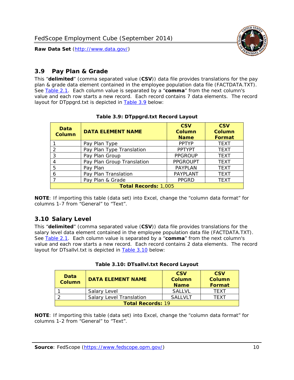

### <span id="page-10-0"></span>*3.9 Pay Plan & Grade*

<span id="page-10-4"></span>This "**delimited**" (comma separated value (**CSV**)) data file provides translations for the pay plan & grade data element contained in the employee population data file (FACTDATA.TXT). See [Table 2.1](#page-4-1). Each column value is separated by a "**comma**" from the next column's value and each row starts a new record. Each record contains 7 data elements. The record layout for DTppgrd.txt is depicted in **Table 3.9** below:

<span id="page-10-2"></span>

| Data<br><b>Column</b>       | <b>DATA ELEMENT NAME</b>   | <b>CSV</b><br>Column<br><b>Name</b> | <b>CSV</b><br>Column<br><b>Format</b> |  |
|-----------------------------|----------------------------|-------------------------------------|---------------------------------------|--|
|                             | Pay Plan Type              | <b>PPTYP</b>                        | <b>TEXT</b>                           |  |
| $\mathcal{P}$               | Pay Plan Type Translation  | <b>PPTYPT</b>                       | <b>TEXT</b>                           |  |
| 3                           | Pay Plan Group             | <b>PPGROUP</b>                      | <b>TEXT</b>                           |  |
|                             | Pay Plan Group Translation | <b>PPGROUPT</b>                     | <b>TEXT</b>                           |  |
| 5                           | Pay Plan                   | <b>PAYPLAN</b>                      | <b>TEXT</b>                           |  |
| 6                           | Pay Plan Translation       | PAYPLANT                            | <b>TEXT</b>                           |  |
|                             | Pay Plan & Grade           | <b>PPGRD</b>                        | <b>TEXT</b>                           |  |
| <b>Total Records: 1,005</b> |                            |                                     |                                       |  |

#### **Table 3.9: DTppgrd.txt Record Layout**

**NOTE**: If importing this table (data set) into Excel, change the "column data format" for columns 1-7 from "General" to "Text".

## <span id="page-10-1"></span>*3.10 Salary Level*

<span id="page-10-5"></span><span id="page-10-3"></span>This "**delimited**" (comma separated value (**CSV**)) data file provides translations for the salary level data element contained in the employee population data file (FACTDATA.TXT). See [Table 2.1](#page-4-1). Each column value is separated by a "**comma**" from the next column's value and each row starts a new record. Each record contains 2 data elements. The record layout for DTsallvl.txt is depicted in [Table 3.10](#page-10-5) below:

| Data<br>Column           | <b>DATA ELEMENT NAME</b>        | <b>CSV</b><br>Column<br><b>Name</b> | <b>CSV</b><br>Column<br>Format |
|--------------------------|---------------------------------|-------------------------------------|--------------------------------|
|                          | Salary Level                    | <b>SALLVL</b>                       | <b>TFXT</b>                    |
|                          | <b>Salary Level Translation</b> | SAI I VI T                          | TFXT                           |
| <b>Total Records: 19</b> |                                 |                                     |                                |

| Table 3.10: DTsallvl.txt Record Layout |  |
|----------------------------------------|--|
|----------------------------------------|--|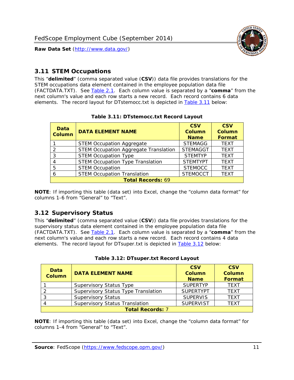

#### <span id="page-11-0"></span>*3.11 STEM Occupations*

<span id="page-11-4"></span>This "**delimited**" (comma separated value (**CSV**)) data file provides translations for the STEM occupations data element contained in the employee population data file (FACTDATA.TXT). See [Table 2.1](#page-4-1). Each column value is separated by a "**comma**" from the next column's value and each row starts a new record. Each record contains 6 data elements. The record layout for DTstemocc.txt is depicted in [Table 3.11](#page-11-4) below:

<span id="page-11-2"></span>

| <b>Data</b><br><b>Column</b> | <b>DATA ELEMENT NAME</b>                     | <b>CSV</b><br>Column<br><b>Name</b> | <b>CSV</b><br><b>Column</b><br><b>Format</b> |  |  |
|------------------------------|----------------------------------------------|-------------------------------------|----------------------------------------------|--|--|
|                              | <b>STEM Occupation Aggregate</b>             | <b>STEMAGG</b>                      | <b>TEXT</b>                                  |  |  |
|                              | <b>STEM Occupation Aggregate Translation</b> | <b>STEMAGGT</b>                     | <b>TEXT</b>                                  |  |  |
| 3                            | <b>STEM Occupation Type</b>                  | <b>STEMTYP</b>                      | <b>TEXT</b>                                  |  |  |
|                              | <b>STEM Occupation Type Translation</b>      | <b>STEMTYPT</b>                     | <b>TEXT</b>                                  |  |  |
| 5                            | <b>STEM Occupation</b>                       | <b>STEMOCC</b>                      | <b>TEXT</b>                                  |  |  |
|                              | <b>STEM Occupation Translation</b>           | <b>STEMOCCT</b>                     | <b>TEXT</b>                                  |  |  |
| <b>Total Records: 69</b>     |                                              |                                     |                                              |  |  |

#### **Table 3.11: DTstemocc.txt Record Layout**

**NOTE**: If importing this table (data set) into Excel, change the "column data format" for columns 1-6 from "General" to "Text".

## <span id="page-11-1"></span>*3.12 Supervisory Status*

This "**delimited**" (comma separated value (**CSV**)) data file provides translations for the supervisory status data element contained in the employee population data file (FACTDATA.TXT). See [Table 2.1](#page-4-1). Each column value is separated by a "**comma**" from the next column's value and each row starts a new record. Each record contains 4 data elements. The record layout for DTsuper.txt is depicted in [Table 3.12](#page-11-5) below:

<span id="page-11-5"></span><span id="page-11-3"></span>

| Data<br><b>Column</b>   | <b>DATA ELEMENT NAME</b>              | <b>CSV</b><br>Column<br><b>Name</b> | <b>CSV</b><br><b>Column</b><br>Format |  |  |
|-------------------------|---------------------------------------|-------------------------------------|---------------------------------------|--|--|
|                         | <b>Supervisory Status Type</b>        | <b>SUPFRTYP</b>                     | <b>TEXT</b>                           |  |  |
|                         | Supervisory Status Type Translation   | <b>SUPERTYPT</b>                    | <b>TEXT</b>                           |  |  |
|                         | <b>Supervisory Status</b>             | <b>SUPERVIS</b>                     | <b>TEXT</b>                           |  |  |
|                         | <b>Supervisory Status Translation</b> | <b>SUPERVIST</b>                    | <b>TEXT</b>                           |  |  |
| <b>Total Records: 7</b> |                                       |                                     |                                       |  |  |

|  | Table 3.12: DTsuper.txt Record Layout |  |
|--|---------------------------------------|--|
|--|---------------------------------------|--|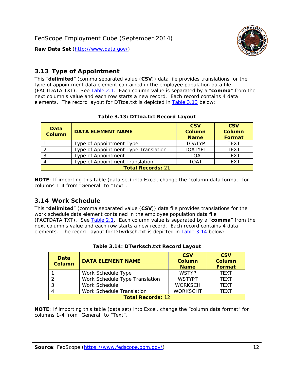

### <span id="page-12-0"></span>*3.13 Type of Appointment*

This "**delimited**" (comma separated value (**CSV**)) data file provides translations for the type of appointment data element contained in the employee population data file (FACTDATA.TXT). See [Table 2.1](#page-4-1). Each column value is separated by a "**comma**" from the next column's value and each row starts a new record. Each record contains 4 data elements. The record layout for DTtoa.txt is depicted in [Table 3.13](#page-12-4) below:

<span id="page-12-4"></span><span id="page-12-2"></span>

| Data<br><b>Column</b>    | <b>DATA ELEMENT NAME</b>             | <b>CSV</b><br><b>Column</b><br><b>Name</b> | <b>CSV</b><br><b>Column</b><br>Format |  |  |
|--------------------------|--------------------------------------|--------------------------------------------|---------------------------------------|--|--|
|                          | Type of Appointment Type             | <b>TOATYP</b>                              | <b>TEXT</b>                           |  |  |
|                          | Type of Appointment Type Translation | <b>TOATYPT</b>                             | <b>TEXT</b>                           |  |  |
|                          | Type of Appointment                  | TOA                                        | <b>TEXT</b>                           |  |  |
|                          | Type of Appointment Translation      | TOAT                                       | <b>TFXT</b>                           |  |  |
| <b>Total Records: 21</b> |                                      |                                            |                                       |  |  |

#### **Table 3.13: DTtoa.txt Record Layout**

**NOTE**: If importing this table (data set) into Excel, change the "column data format" for columns 1-4 from "General" to "Text".

#### <span id="page-12-1"></span>*3.14 Work Schedule*

<span id="page-12-5"></span>This "**delimited**" (comma separated value (**CSV**)) data file provides translations for the work schedule data element contained in the employee population data file (FACTDATA.TXT). See [Table 2.1](#page-4-1). Each column value is separated by a "**comma**" from the next column's value and each row starts a new record. Each record contains 4 data elements. The record layout for DTwrksch.txt is depicted in [Table 3.14](#page-12-5) below:

<span id="page-12-3"></span>

| Data<br><b>Column</b>    | <b>DATA ELEMENT NAME</b>       | <b>CSV</b><br>Column<br><b>Name</b> | <b>CSV</b><br><b>Column</b><br><b>Format</b> |  |
|--------------------------|--------------------------------|-------------------------------------|----------------------------------------------|--|
|                          | Work Schedule Type             | <b>WSTYP</b>                        | <b>TEXT</b>                                  |  |
|                          | Work Schedule Type Translation | <b>WSTYPT</b>                       | <b>TFXT</b>                                  |  |
| 3                        | Work Schedule                  | <b>WORKSCH</b>                      | <b>TFXT</b>                                  |  |
|                          | Work Schedule Translation      | <b>WORKSCHT</b>                     | <b>TFXT</b>                                  |  |
| <b>Total Records: 12</b> |                                |                                     |                                              |  |

|  | Table 3.14: DTwrksch.txt Record Layout |  |
|--|----------------------------------------|--|
|  |                                        |  |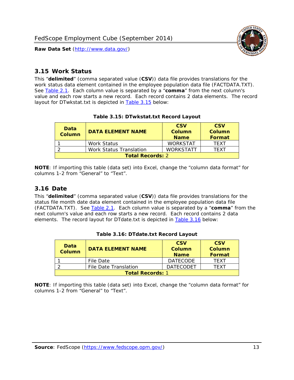

#### <span id="page-13-0"></span>*3.15 Work Status*

<span id="page-13-4"></span><span id="page-13-2"></span>This "**delimited**" (comma separated value (**CSV**)) data file provides translations for the work status data element contained in the employee population data file (FACTDATA.TXT). See [Table 2.1](#page-4-1). Each column value is separated by a "**comma**" from the next column's value and each row starts a new record. Each record contains 2 data elements. The record layout for DTwkstat.txt is depicted in [Table 3.15](#page-13-4) below:

| Data<br><b>Column</b>   | <b>DATA ELEMENT NAME</b> | <b>CSV</b><br>Column<br><b>Name</b> | <b>CSV</b><br>Column<br><b>Format</b> |
|-------------------------|--------------------------|-------------------------------------|---------------------------------------|
|                         | Work Status              | <b>WORKSTAT</b>                     | TFXT                                  |
|                         | Work Status Translation  | <b>WORKSTATT</b>                    | TFXT                                  |
| <b>Total Records: 2</b> |                          |                                     |                                       |

#### **Table 3.15: DTwkstat.txt Record Layout**

**NOTE**: If importing this table (data set) into Excel, change the "column data format" for columns 1-2 from "General" to "Text".

#### <span id="page-13-1"></span>*3.16 Date*

<span id="page-13-5"></span><span id="page-13-3"></span>This "**delimited**" (comma separated value (**CSV**)) data file provides translations for the status file month date data element contained in the employee population data file (FACTDATA.TXT). See [Table 2.1](#page-4-1). Each column value is separated by a "**comma**" from the next column's value and each row starts a new record. Each record contains 2 data elements. The record layout for DTdate.txt is depicted in [Table 3.16](#page-13-5) below:

| Data<br><b>Column</b>   | <b>DATA ELEMENT NAME</b> | <b>CSV</b><br>Column<br><b>Name</b> | <b>CSV</b><br>Column<br><b>Format</b> |
|-------------------------|--------------------------|-------------------------------------|---------------------------------------|
|                         | File Date                | <b>DATECODE</b>                     | TFXT                                  |
|                         | File Date Translation    | <b>DATECODET</b>                    | TFXT                                  |
| <b>Total Records: 1</b> |                          |                                     |                                       |

**Table 3.16: DTdate.txt Record Layout**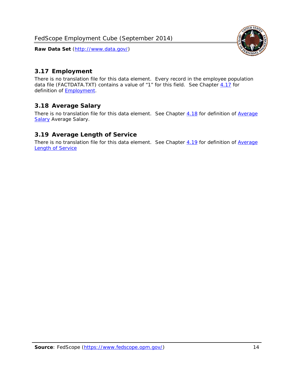<span id="page-14-0"></span>

There is no translation file for this data element. Every record in the employee population data file (FACTDATA.TXT) contains a value of "1" for this field. See Chapter [4.17](#page-16-8) for definition of **Employment**.

## <span id="page-14-1"></span>*3.18 Average Salary*

There is no translation file for this data element. See Chapter [4.18](#page-17-1) for definition of [Average](#page-17-1) **[Salary](#page-17-1) [Average Salary.](#page-17-1)** 

#### <span id="page-14-2"></span>*3.19 Average Length of Service*

There is no translation file for this data element. See Chapter [4.19](#page-17-2) for definition of [Average](#page-17-2) Length of Service

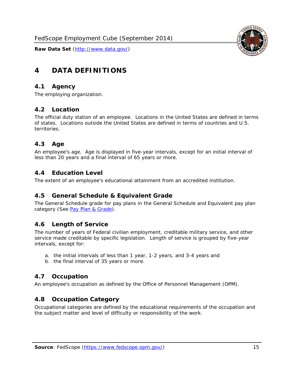

# <span id="page-15-0"></span>**4 DATA DEFINITIONS**

#### <span id="page-15-1"></span>*4.1 Agency*

The employing organization.

#### <span id="page-15-2"></span>*4.2 Location*

The official duty station of an employee. Locations in the United States are defined in terms of states. Locations outside the United States are defined in terms of countries and U.S. territories.

#### <span id="page-15-3"></span>*4.3 Age*

An employee's age. Age is displayed in five-year intervals, except for an initial interval of less than 20 years and a final interval of 65 years or more.

#### <span id="page-15-4"></span>*4.4 Education Level*

The extent of an employee's educational attainment from an accredited institution.

#### <span id="page-15-5"></span>*4.5 General Schedule & Equivalent Grade*

The General Schedule grade for pay plans in the General Schedule and Equivalent pay plan category (See [Pay Plan & Grade](#page-16-0)).

#### <span id="page-15-6"></span>*4.6 Length of Service*

The number of years of Federal civilian employment, creditable military service, and other service made creditable by specific legislation. Length of service is grouped by five-year intervals, except for:

- a. the initial intervals of less than 1 year, 1-2 years, and 3-4 years and
- b. the final interval of 35 years or more.

#### <span id="page-15-7"></span>*4.7 Occupation*

An employee's occupation as defined by the Office of Personnel Management (OPM).

#### <span id="page-15-8"></span>*4.8 Occupation Category*

Occupational categories are defined by the educational requirements of the occupation and the subject matter and level of difficulty or responsibility of the work.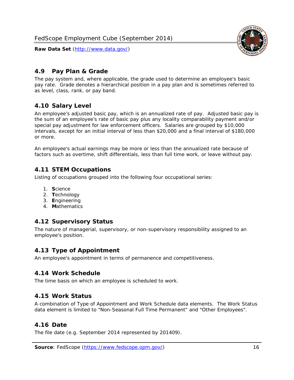<span id="page-16-0"></span>

The pay system and, where applicable, the grade used to determine an employee's basic pay rate. Grade denotes a hierarchical position in a pay plan and is sometimes referred to as level, class, rank, or pay band.

## <span id="page-16-1"></span>*4.10 Salary Level*

An employee's adjusted basic pay, which is an annualized rate of pay. Adjusted basic pay is the sum of an employee's rate of basic pay plus any locality comparability payment and/or special pay adjustment for law enforcement officers. Salaries are grouped by \$10,000 intervals, except for an initial interval of less than \$20,000 and a final interval of \$180,000 or more.

An employee's actual earnings may be more or less than the annualized rate because of factors such as overtime, shift differentials, less than full time work, or leave without pay.

## <span id="page-16-2"></span>*4.11 STEM Occupations*

Listing of occupations grouped into the following four occupational series:

- 1. **S**cience
- 2. **T**echnology
- 3. **E**ngineering
- 4. **M**athematics

#### <span id="page-16-3"></span>*4.12 Supervisory Status*

The nature of managerial, supervisory, or non-supervisory responsibility assigned to an employee's position.

#### <span id="page-16-4"></span>*4.13 Type of Appointment*

An employee's appointment in terms of permanence and competitiveness.

#### <span id="page-16-5"></span>*4.14 Work Schedule*

The time basis on which an employee is scheduled to work.

#### <span id="page-16-6"></span>*4.15 Work Status*

A combination of Type of Appointment and Work Schedule data elements. The Work Status data element is limited to "Non-Seasonal Full Time Permanent" and "Other Employees".

#### <span id="page-16-7"></span>*4.16 Date*

<span id="page-16-8"></span>The file date (e.g. September 2014 represented by 201409).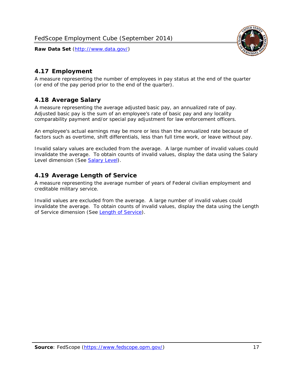

### <span id="page-17-0"></span>*4.17 Employment*

A measure representing the number of employees in pay status at the end of the quarter (or end of the pay period prior to the end of the quarter).

#### <span id="page-17-1"></span>*4.18 Average Salary*

A measure representing the average adjusted basic pay, an annualized rate of pay. Adjusted basic pay is the sum of an employee's rate of basic pay and any locality comparability payment and/or special pay adjustment for law enforcement officers.

An employee's actual earnings may be more or less than the annualized rate because of factors such as overtime, shift differentials, less than full time work, or leave without pay.

Invalid salary values are excluded from the average. A large number of invalid values could invalidate the average. To obtain counts of invalid values, display the data using the Salary Level dimension (See [Salary Level\)](#page-16-1).

#### <span id="page-17-2"></span>*4.19 Average Length of Service*

A measure representing the average number of years of Federal civilian employment and creditable military service.

Invalid values are excluded from the average. A large number of invalid values could invalidate the average. To obtain counts of invalid values, display the data using the Length of Service dimension (See [Length of Service](#page-15-6)).